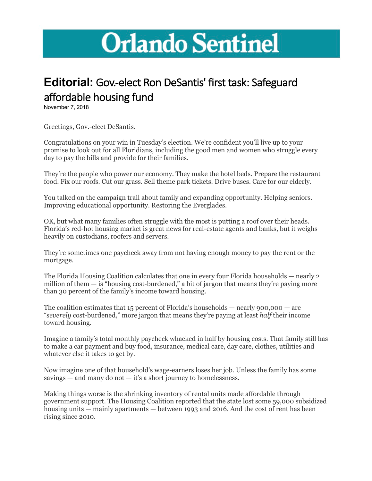## **Orlando Sentinel**

## **Editorial:** Gov.-elect Ron DeSantis' first task: Safeguard affordable housing fund

November 7, 2018

Greetings, Gov.-elect DeSantis.

Congratulations on your win in Tuesday's election. We're confident you'll live up to your promise to look out for all Floridians, including the good men and women who struggle every day to pay the bills and provide for their families.

They're the people who power our economy. They make the hotel beds. Prepare the restaurant food. Fix our roofs. Cut our grass. Sell theme park tickets. Drive buses. Care for our elderly.

You talked on the campaign trail about family and expanding opportunity. Helping seniors. Improving educational opportunity. Restoring the Everglades.

OK, but what many families often struggle with the most is putting a roof over their heads. Florida's red-hot housing market is great news for real-estate agents and banks, but it weighs heavily on custodians, roofers and servers.

They're sometimes one paycheck away from not having enough money to pay the rent or the mortgage.

The Florida Housing Coalition calculates that one in every four Florida households — nearly 2 million of them  $-$  is "housing cost-burdened," a bit of jargon that means they're paying more than 30 percent of the family's income toward housing.

The coalition estimates that  $15$  percent of Florida's households — nearly  $900,000$  — are "*severely* cost-burdened," more jargon that means they're paying at least *half* their income toward housing.

Imagine a family's total monthly paycheck whacked in half by housing costs. That family still has to make a car payment and buy food, insurance, medical care, day care, clothes, utilities and whatever else it takes to get by.

Now imagine one of that household's wage-earners loses her job. Unless the family has some savings — and many do not — it's a short journey to homelessness.

Making things worse is the shrinking inventory of rental units made affordable through government support. The Housing Coalition reported that the state lost some 59,000 subsidized housing units — mainly apartments — between 1993 and 2016. And the cost of rent has been rising since 2010.